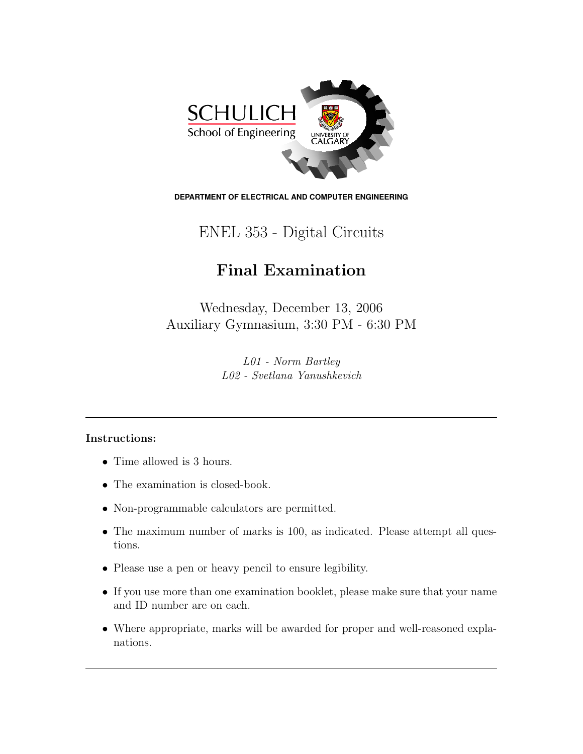

**DEPARTMENT OF ELECTRICAL AND COMPUTER ENGINEERING**

## ENEL 353 - Digital Circuits

## Final Examination

Wednesday, December 13, 2006 Auxiliary Gymnasium, 3:30 PM - 6:30 PM

> L01 - Norm Bartley L02 - Svetlana Yanushkevich

## Instructions:

- Time allowed is 3 hours.
- The examination is closed-book.
- Non-programmable calculators are permitted.
- The maximum number of marks is 100, as indicated. Please attempt all questions.
- Please use a pen or heavy pencil to ensure legibility.
- If you use more than one examination booklet, please make sure that your name and ID number are on each.
- Where appropriate, marks will be awarded for proper and well-reasoned explanations.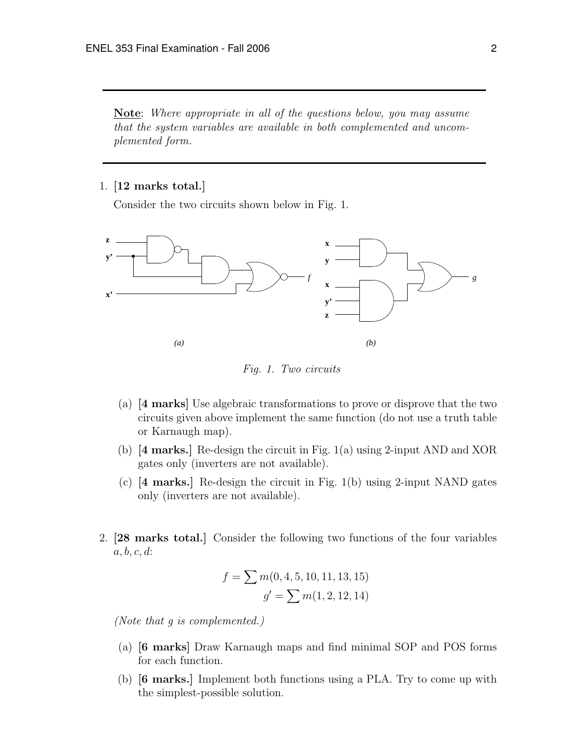**Note:** Where appropriate in all of the questions below, you may assume that the system variables are available in both complemented and uncomplemented form.

## 1. [12 marks total.]

Consider the two circuits shown below in Fig. 1.



Fig. 1. Two circuits

- (a) [4 marks] Use algebraic transformations to prove or disprove that the two circuits given above implement the same function (do not use a truth table or Karnaugh map).
- (b) [4 marks.] Re-design the circuit in Fig. 1(a) using 2-input AND and XOR gates only (inverters are not available).
- (c) [4 marks.] Re-design the circuit in Fig. 1(b) using 2-input NAND gates only (inverters are not available).
- 2. [28 marks total.] Consider the following two functions of the four variables  $a, b, c, d$ :

$$
f = \sum m(0, 4, 5, 10, 11, 13, 15)
$$

$$
g' = \sum m(1, 2, 12, 14)
$$

(Note that g is complemented.)

- (a) [6 marks] Draw Karnaugh maps and find minimal SOP and POS forms for each function.
- (b) [6 marks.] Implement both functions using a PLA. Try to come up with the simplest-possible solution.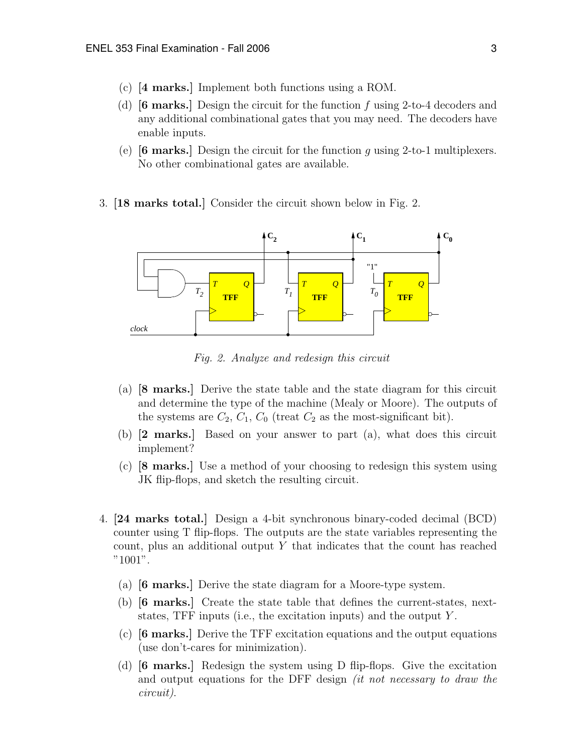- (c) [4 marks.] Implement both functions using a ROM.
- (d)  $[6 \text{ marks.}]$  Design the circuit for the function f using 2-to-4 decoders and any additional combinational gates that you may need. The decoders have enable inputs.
- (e)  $[6 \text{ marks.}]$  Design the circuit for the function g using 2-to-1 multiplexers. No other combinational gates are available.
- 3. [18 marks total.] Consider the circuit shown below in Fig. 2.



Fig. 2. Analyze and redesign this circuit

- (a) [8 marks.] Derive the state table and the state diagram for this circuit and determine the type of the machine (Mealy or Moore). The outputs of the systems are  $C_2$ ,  $C_1$ ,  $C_0$  (treat  $C_2$  as the most-significant bit).
- (b) [2 marks.] Based on your answer to part (a), what does this circuit implement?
- (c) [8 marks.] Use a method of your choosing to redesign this system using JK flip-flops, and sketch the resulting circuit.
- 4. [24 marks total.] Design a 4-bit synchronous binary-coded decimal (BCD) counter using T flip-flops. The outputs are the state variables representing the count, plus an additional output  $Y$  that indicates that the count has reached "1001".
	- (a) [6 marks.] Derive the state diagram for a Moore-type system.
	- (b) [6 marks.] Create the state table that defines the current-states, nextstates, TFF inputs (i.e., the excitation inputs) and the output  $Y$ .
	- (c) [6 marks.] Derive the TFF excitation equations and the output equations (use don't-cares for minimization).
	- (d)  $[6 \text{ marks.}]$  Redesign the system using D flip-flops. Give the excitation and output equations for the DFF design *(it not necessary to draw the* circuit).